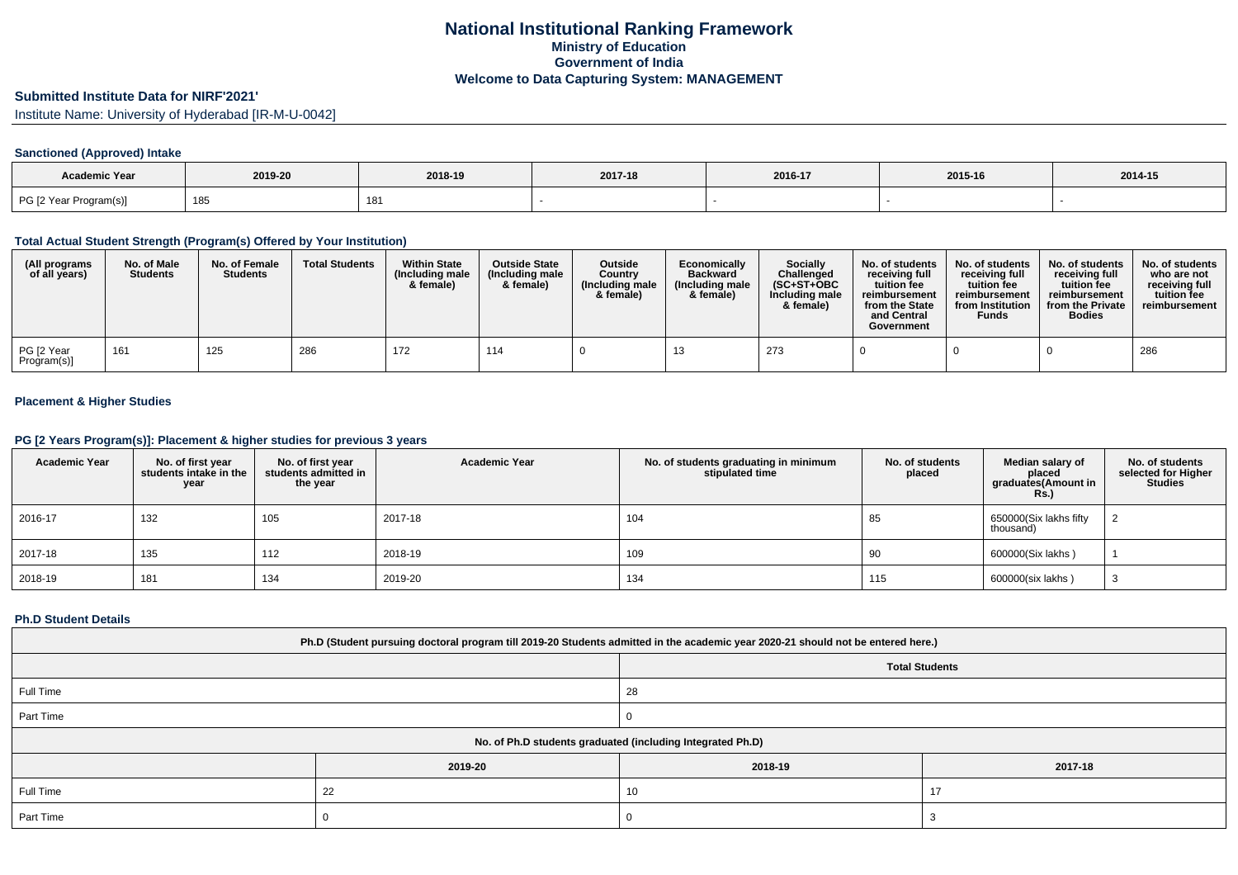# **Submitted Institute Data for NIRF'2021'**

Institute Name: University of Hyderabad [IR-M-U-0042]

### **Sanctioned (Approved) Intake**

| <b>Academic Year</b>   | 2019-20<br>2018-19 |     | 2017-18 | 2016-17 | 2015-16 | 2014-15 |
|------------------------|--------------------|-----|---------|---------|---------|---------|
| PG [2 Year Program(s)] | 185                | 181 |         |         |         |         |

### **Total Actual Student Strength (Program(s) Offered by Your Institution)**

| (All programs<br>of all years) | No. of Male<br><b>Students</b> | No. of Female<br><b>Students</b> | <b>Total Students</b> | <b>Within State</b><br>(Including male<br>& female) | <b>Outside State</b><br>(Including male<br>& female) | <b>Outside</b><br>Country<br>(Including male<br>& female) | Economically<br><b>Backward</b><br>(Including male)<br>& female) | <b>Socially</b><br>Challenged<br>$(SC+ST+OBC)$<br>Including male<br>& female) | No. of students<br>receivina full<br>tuition fee<br>reimbursement<br>from the State<br>and Central<br>Government | No. of students<br>receiving full<br>tuition fee<br>reimbursement<br>from Institution<br><b>Funds</b> | No. of students<br>receiving full<br>tuition fee<br>reimbursement<br>from the Private<br><b>Bodies</b> | No. of students<br>who are not<br>receiving full<br>tuition fee<br>reimbursement |
|--------------------------------|--------------------------------|----------------------------------|-----------------------|-----------------------------------------------------|------------------------------------------------------|-----------------------------------------------------------|------------------------------------------------------------------|-------------------------------------------------------------------------------|------------------------------------------------------------------------------------------------------------------|-------------------------------------------------------------------------------------------------------|--------------------------------------------------------------------------------------------------------|----------------------------------------------------------------------------------|
| PG [2 Year<br>Program(s)]      | 161                            | 125                              | 286                   | 172                                                 | 114                                                  |                                                           |                                                                  | 273                                                                           |                                                                                                                  |                                                                                                       |                                                                                                        | 286                                                                              |

## **Placement & Higher Studies**

### **PG [2 Years Program(s)]: Placement & higher studies for previous 3 years**

| <b>Academic Year</b> | No. of first year<br>students intake in the<br>year | No. of first year<br>students admitted in<br>the year | <b>Academic Year</b> | No. of students graduating in minimum<br>stipulated time | No. of students<br>placed | Median salary of<br>placed<br>graduates(Amount in<br><b>Rs.)</b> | No. of students<br>selected for Higher<br><b>Studies</b> |
|----------------------|-----------------------------------------------------|-------------------------------------------------------|----------------------|----------------------------------------------------------|---------------------------|------------------------------------------------------------------|----------------------------------------------------------|
| 2016-17              | 132                                                 | 105                                                   | 2017-18              | 104                                                      | 85                        | 650000(Six lakhs fifty<br>thousand)                              |                                                          |
| 2017-18              | 135                                                 | 112                                                   | 2018-19              | 109                                                      | 90                        | 600000(Six lakhs)                                                |                                                          |
| 2018-19              | 181                                                 | 134                                                   | 2019-20              | 134                                                      | 115                       | 600000(six lakhs)                                                | رب                                                       |

#### **Ph.D Student Details**

| Ph.D (Student pursuing doctoral program till 2019-20 Students admitted in the academic year 2020-21 should not be entered here.) |         |         |         |  |  |  |  |  |
|----------------------------------------------------------------------------------------------------------------------------------|---------|---------|---------|--|--|--|--|--|
| <b>Total Students</b>                                                                                                            |         |         |         |  |  |  |  |  |
| Full Time                                                                                                                        |         | 28      |         |  |  |  |  |  |
| Part Time                                                                                                                        |         |         |         |  |  |  |  |  |
| No. of Ph.D students graduated (including Integrated Ph.D)                                                                       |         |         |         |  |  |  |  |  |
|                                                                                                                                  | 2019-20 | 2018-19 | 2017-18 |  |  |  |  |  |
| Full Time                                                                                                                        | 22      | 10      | 17      |  |  |  |  |  |
| Part Time                                                                                                                        |         |         |         |  |  |  |  |  |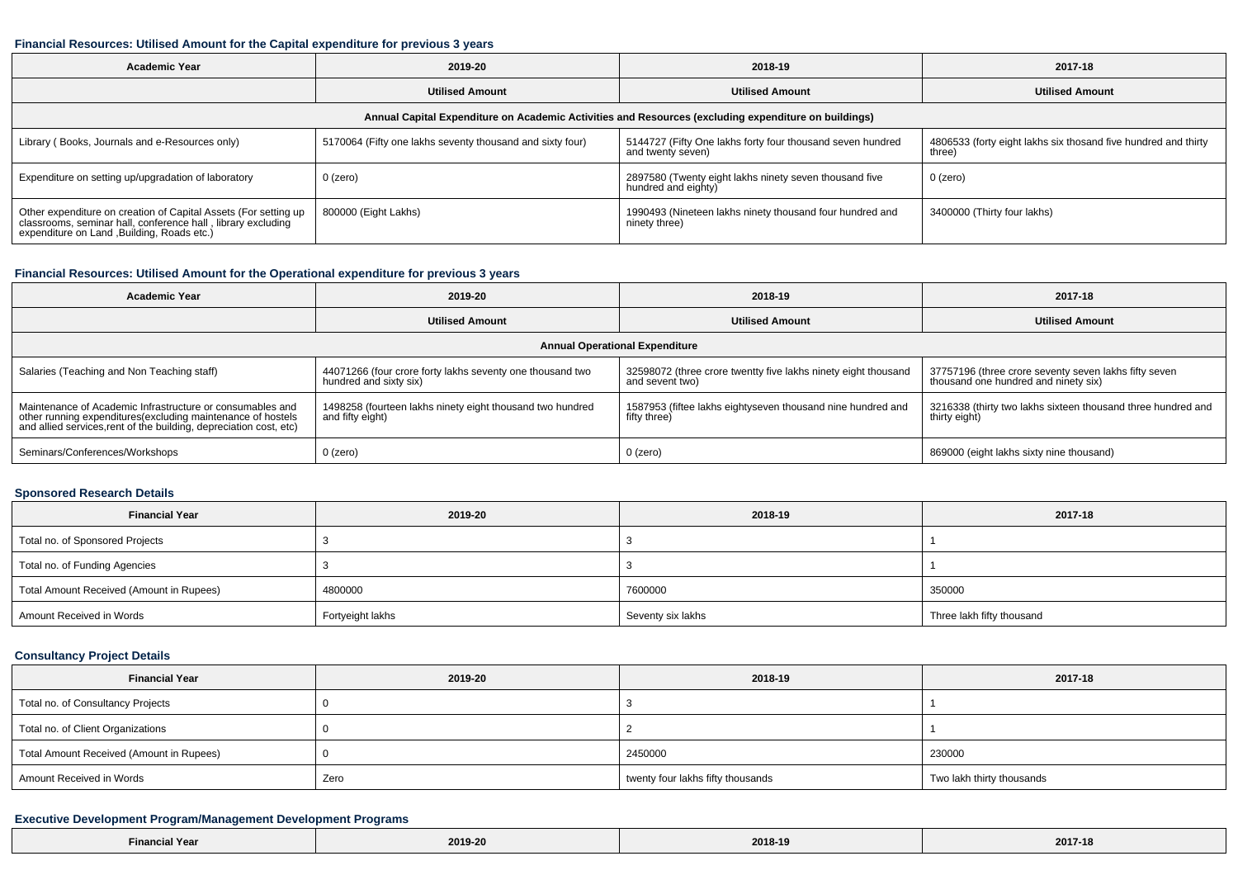#### **Financial Resources: Utilised Amount for the Capital expenditure for previous 3 years**

| <b>Academic Year</b>                                                                                                                                                           | 2019-20                                                   |                                                                                 | 2017-18                                                                  |  |  |  |  |  |  |
|--------------------------------------------------------------------------------------------------------------------------------------------------------------------------------|-----------------------------------------------------------|---------------------------------------------------------------------------------|--------------------------------------------------------------------------|--|--|--|--|--|--|
|                                                                                                                                                                                | <b>Utilised Amount</b>                                    | <b>Utilised Amount</b>                                                          | <b>Utilised Amount</b>                                                   |  |  |  |  |  |  |
| Annual Capital Expenditure on Academic Activities and Resources (excluding expenditure on buildings)                                                                           |                                                           |                                                                                 |                                                                          |  |  |  |  |  |  |
| Library (Books, Journals and e-Resources only)                                                                                                                                 | 5170064 (Fifty one lakhs seventy thousand and sixty four) | 5144727 (Fifty One lakhs forty four thousand seven hundred<br>and twenty seven) | 4806533 (forty eight lakhs six thosand five hundred and thirty<br>three) |  |  |  |  |  |  |
| Expenditure on setting up/upgradation of laboratory                                                                                                                            | 0 (zero)                                                  | 2897580 (Twenty eight lakhs ninety seven thousand five<br>hundred and eighty)   | 0 (zero)                                                                 |  |  |  |  |  |  |
| Other expenditure on creation of Capital Assets (For setting up<br>classrooms, seminar hall, conference hall, library excluding<br>expenditure on Land , Building, Roads etc.) | 800000 (Eight Lakhs)                                      | 1990493 (Nineteen lakhs ninety thousand four hundred and<br>ninety three)       | 3400000 (Thirty four lakhs)                                              |  |  |  |  |  |  |

#### **Financial Resources: Utilised Amount for the Operational expenditure for previous 3 years**

| <b>Academic Year</b>                                                                                                                                                                            | 2019-20                                                                             | 2018-19                                                                           | 2017-18                                                                                       |  |  |  |  |  |
|-------------------------------------------------------------------------------------------------------------------------------------------------------------------------------------------------|-------------------------------------------------------------------------------------|-----------------------------------------------------------------------------------|-----------------------------------------------------------------------------------------------|--|--|--|--|--|
|                                                                                                                                                                                                 | <b>Utilised Amount</b>                                                              | <b>Utilised Amount</b>                                                            | <b>Utilised Amount</b>                                                                        |  |  |  |  |  |
| <b>Annual Operational Expenditure</b>                                                                                                                                                           |                                                                                     |                                                                                   |                                                                                               |  |  |  |  |  |
| Salaries (Teaching and Non Teaching staff)                                                                                                                                                      | 44071266 (four crore forty lakhs seventy one thousand two<br>hundred and sixty six) | 32598072 (three crore twentty five lakhs ninety eight thousand<br>and sevent two) | 37757196 (three crore seventy seven lakhs fifty seven<br>thousand one hundred and ninety six) |  |  |  |  |  |
| Maintenance of Academic Infrastructure or consumables and<br>other running expenditures (excluding maintenance of hostels<br>and allied services, rent of the building, depreciation cost, etc) | 1498258 (fourteen lakhs ninety eight thousand two hundred<br>and fifty eight)       | 1587953 (fiftee lakhs eightyseven thousand nine hundred and<br>fifty three)       | 3216338 (thirty two lakhs sixteen thousand three hundred and<br>thirty eight)                 |  |  |  |  |  |
| Seminars/Conferences/Workshops                                                                                                                                                                  | $0$ (zero)                                                                          | $0$ (zero)                                                                        | 869000 (eight lakhs sixty nine thousand)                                                      |  |  |  |  |  |

### **Sponsored Research Details**

| <b>Financial Year</b>                    | 2019-20          | 2018-19           | 2017-18                   |
|------------------------------------------|------------------|-------------------|---------------------------|
| Total no. of Sponsored Projects          |                  |                   |                           |
| Total no. of Funding Agencies            |                  |                   |                           |
| Total Amount Received (Amount in Rupees) | 4800000          | 7600000           | 350000                    |
| Amount Received in Words                 | Fortyeight lakhs | Seventy six lakhs | Three lakh fifty thousand |

# **Consultancy Project Details**

| <b>Financial Year</b>                    | 2019-20 | 2018-19                           | 2017-18                   |  |
|------------------------------------------|---------|-----------------------------------|---------------------------|--|
| Total no. of Consultancy Projects        |         |                                   |                           |  |
| Total no. of Client Organizations        |         |                                   |                           |  |
| Total Amount Received (Amount in Rupees) |         | 2450000                           | 230000                    |  |
| Amount Received in Words                 | Zero    | twenty four lakhs fifty thousands | Two lakh thirty thousands |  |

### **Executive Development Program/Management Development Programs**

| $-$<br>Yea<br>Finar | 2019-20 | 2018-19 | 2017-18 |
|---------------------|---------|---------|---------|
|---------------------|---------|---------|---------|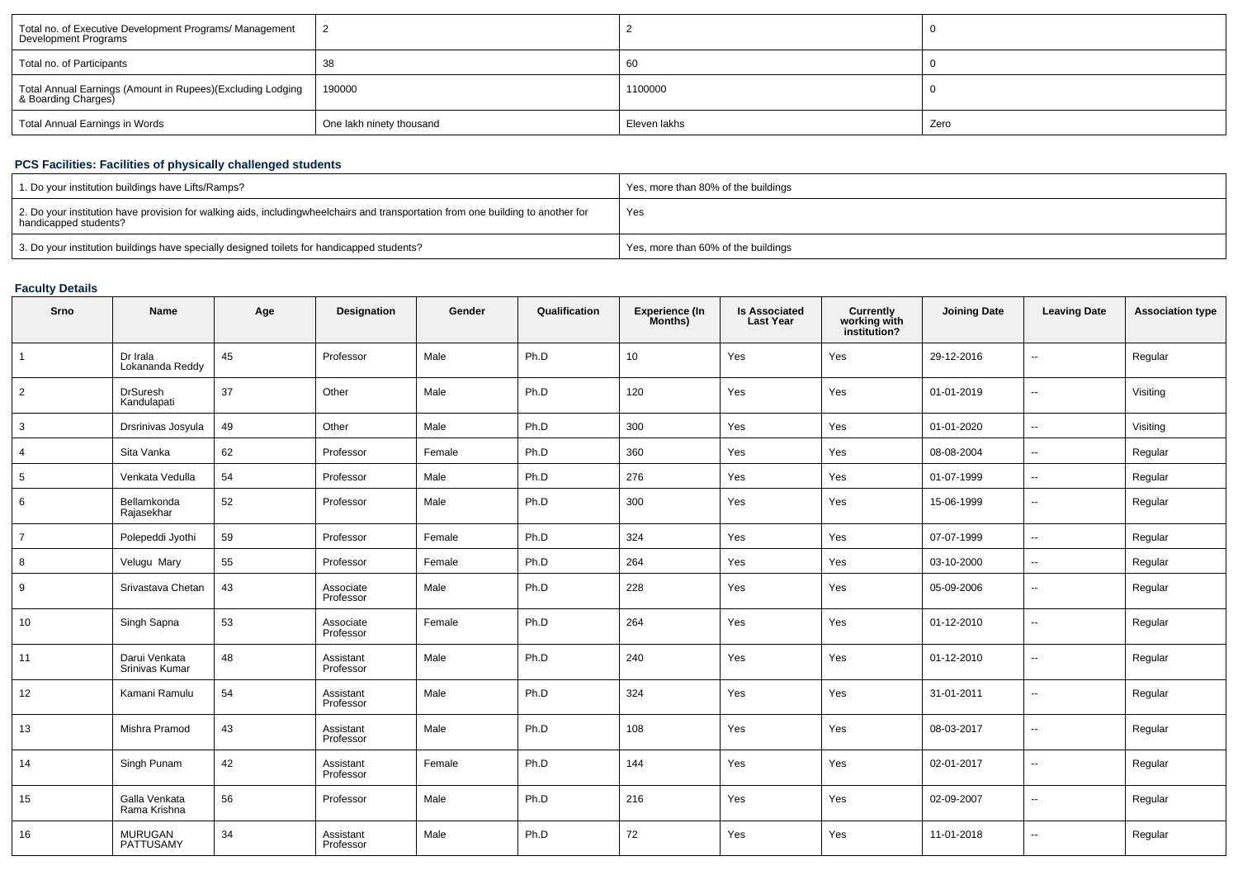| Total no. of Executive Development Programs/ Management<br>Development Programs   |                          |              |      |
|-----------------------------------------------------------------------------------|--------------------------|--------------|------|
| Total no. of Participants                                                         | 38                       | 60           |      |
| Total Annual Earnings (Amount in Rupees)(Excluding Lodging<br>& Boarding Charges) | 190000                   | 1100000      |      |
| Total Annual Earnings in Words                                                    | One lakh ninety thousand | Eleven lakhs | Zero |

# **PCS Facilities: Facilities of physically challenged students**

| 1. Do your institution buildings have Lifts/Ramps?                                                                                                        | Yes, more than 80% of the buildings |
|-----------------------------------------------------------------------------------------------------------------------------------------------------------|-------------------------------------|
| 2. Do your institution have provision for walking aids, includingwheelchairs and transportation from one building to another for<br>handicapped students? | Yes                                 |
| 3. Do your institution buildings have specially designed toilets for handicapped students?                                                                | Yes, more than 60% of the buildings |

# **Faculty Details**

| Srno            | Name                            | Age | Designation            | Gender | Qualification | Experience (In<br>Months) | Is Associated<br>Last Year | Currently<br>working with<br>institution? | <b>Joining Date</b> | <b>Leaving Date</b>      | <b>Association type</b> |
|-----------------|---------------------------------|-----|------------------------|--------|---------------|---------------------------|----------------------------|-------------------------------------------|---------------------|--------------------------|-------------------------|
| $\overline{1}$  | Dr Irala<br>Lokananda Reddy     | 45  | Professor              | Male   | Ph.D          | 10                        | Yes                        | Yes                                       | 29-12-2016          | Ξ.                       | Regular                 |
| $\overline{2}$  | <b>DrSuresh</b><br>Kandulapati  | 37  | Other                  | Male   | Ph.D          | 120                       | Yes                        | Yes                                       | 01-01-2019          | --                       | Visiting                |
| 3               | Drsrinivas Josyula              | 49  | Other                  | Male   | Ph.D          | 300                       | Yes                        | Yes                                       | 01-01-2020          | ÷.                       | Visiting                |
| $\overline{4}$  | Sita Vanka                      | 62  | Professor              | Female | Ph.D          | 360                       | Yes                        | Yes                                       | 08-08-2004          | $\overline{\phantom{a}}$ | Regular                 |
| $5\phantom{.0}$ | Venkata Vedulla                 | 54  | Professor              | Male   | Ph.D          | 276                       | Yes                        | Yes                                       | 01-07-1999          | $\overline{\phantom{a}}$ | Regular                 |
| 6               | Bellamkonda<br>Rajasekhar       | 52  | Professor              | Male   | Ph.D          | 300                       | Yes                        | Yes                                       | 15-06-1999          | --                       | Regular                 |
| $\overline{7}$  | Polepeddi Jyothi                | 59  | Professor              | Female | Ph.D          | 324                       | Yes                        | Yes                                       | 07-07-1999          | Ξ.                       | Regular                 |
| 8               | Velugu Mary                     | 55  | Professor              | Female | Ph.D          | 264                       | Yes                        | Yes                                       | 03-10-2000          | Ξ.                       | Regular                 |
| 9               | Srivastava Chetan               | 43  | Associate<br>Professor | Male   | Ph.D          | 228                       | Yes                        | Yes                                       | 05-09-2006          | $\overline{\phantom{a}}$ | Regular                 |
| 10              | Singh Sapna                     | 53  | Associate<br>Professor | Female | Ph.D          | 264                       | Yes                        | Yes                                       | 01-12-2010          | --                       | Regular                 |
| 11              | Darui Venkata<br>Srinivas Kumar | 48  | Assistant<br>Professor | Male   | Ph.D          | 240                       | Yes                        | Yes                                       | 01-12-2010          | --                       | Regular                 |
| 12              | Kamani Ramulu                   | 54  | Assistant<br>Professor | Male   | Ph.D          | 324                       | Yes                        | Yes                                       | 31-01-2011          | $\overline{\phantom{a}}$ | Regular                 |
| 13              | Mishra Pramod                   | 43  | Assistant<br>Professor | Male   | Ph.D          | 108                       | Yes                        | Yes                                       | 08-03-2017          | ٠.                       | Regular                 |
| 14              | Singh Punam                     | 42  | Assistant<br>Professor | Female | Ph.D          | 144                       | Yes                        | Yes                                       | 02-01-2017          | $\overline{\phantom{a}}$ | Regular                 |
| 15              | Galla Venkata<br>Rama Krishna   | 56  | Professor              | Male   | Ph.D          | 216                       | Yes                        | Yes                                       | 02-09-2007          | $\overline{\phantom{a}}$ | Regular                 |
| 16              | MURUGAN<br>PATTUSAMY            | 34  | Assistant<br>Professor | Male   | Ph.D          | 72                        | Yes                        | Yes                                       | 11-01-2018          | --                       | Regular                 |